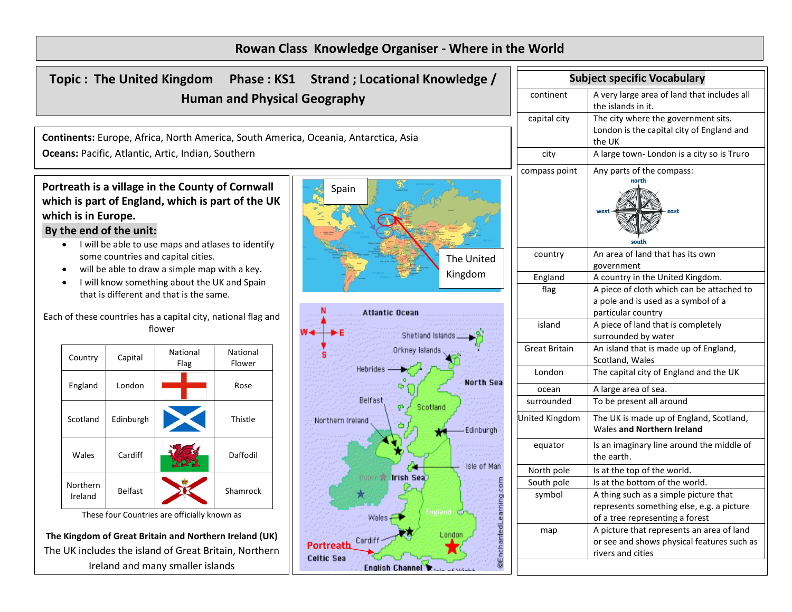